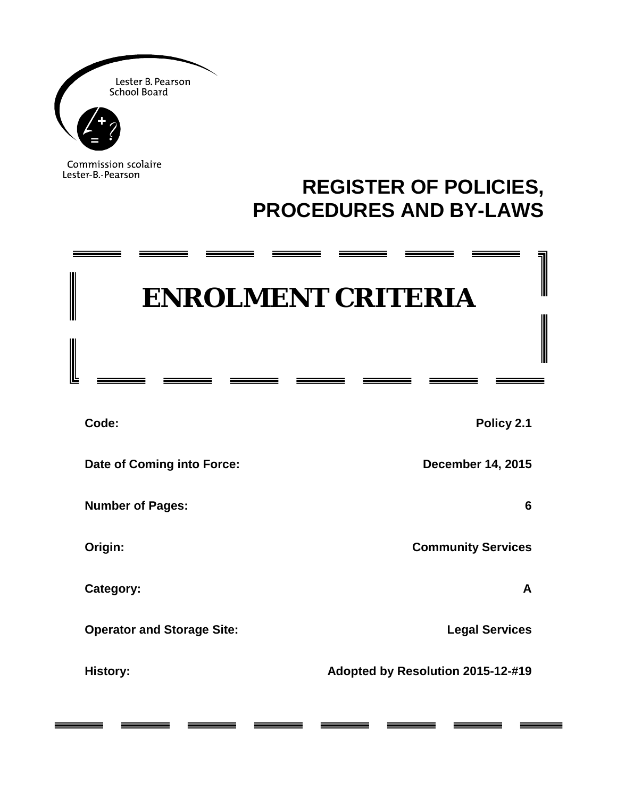

≂

═

Commission scolaire Lester-B.-Pearson

\_\_\_\_\_\_

## **REGISTER OF POLICIES, PROCEDURES AND BY-LAWS**

\_\_\_\_\_\_

\_\_\_\_\_\_

 $\overline{\phantom{iiiiiiiiiiiiiii}}$ 

# **ENROLMENT CRITERIA**

 $\overline{\phantom{a}}$ 

\_\_\_\_\_\_

| Code:                             | Policy 2.1                        |
|-----------------------------------|-----------------------------------|
| Date of Coming into Force:        | <b>December 14, 2015</b>          |
| <b>Number of Pages:</b>           | 6                                 |
| Origin:                           | <b>Community Services</b>         |
| Category:                         | A                                 |
| <b>Operator and Storage Site:</b> | <b>Legal Services</b>             |
| <b>History:</b>                   | Adopted by Resolution 2015-12-#19 |
|                                   |                                   |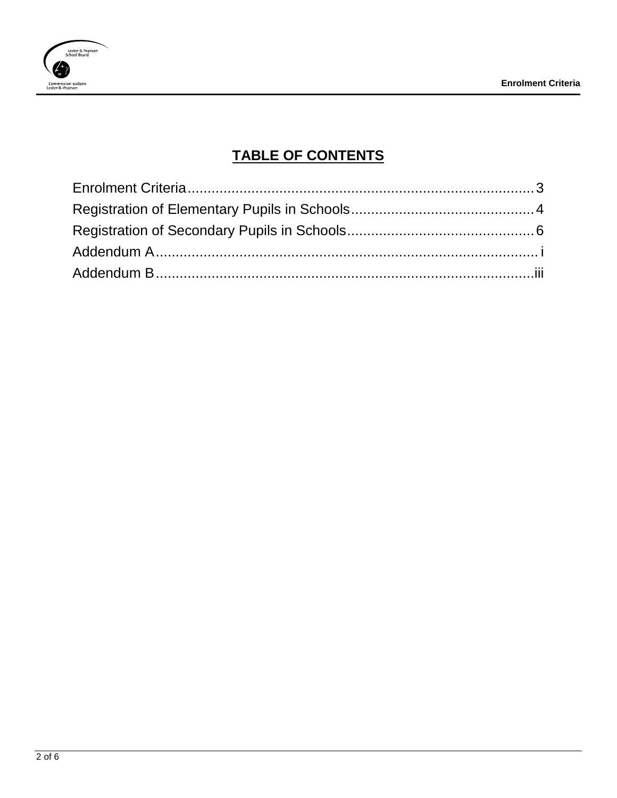

## **TABLE OF CONTENTS**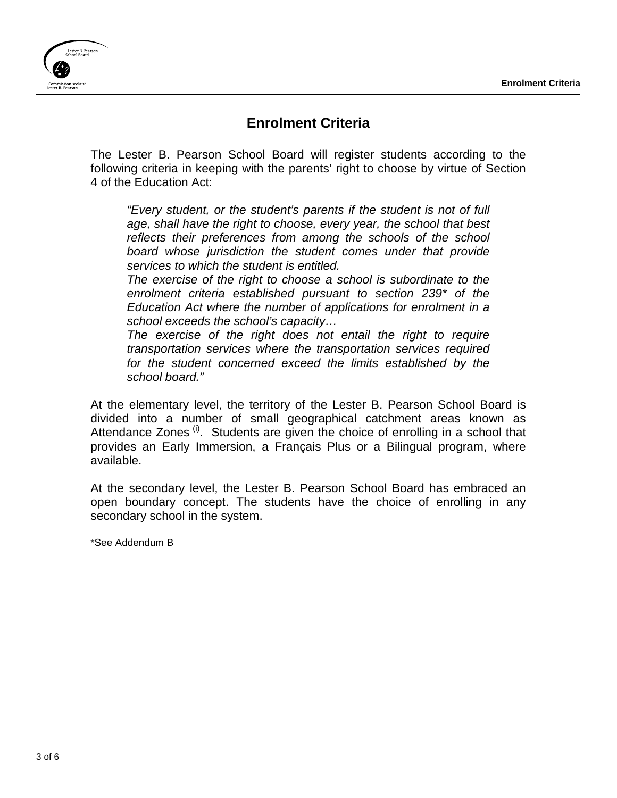

## **Enrolment Criteria**

<span id="page-2-0"></span>The Lester B. Pearson School Board will register students according to the following criteria in keeping with the parents' right to choose by virtue of Section 4 of the Education Act:

*"Every student, or the student's parents if the student is not of full age, shall have the right to choose, every year, the school that best reflects their preferences from among the schools of the school board whose jurisdiction the student comes under that provide services to which the student is entitled.* 

*The exercise of the right to choose a school is subordinate to the enrolment criteria established pursuant to section 239\* of the Education Act where the number of applications for enrolment in a school exceeds the school's capacity…*

*The exercise of the right does not entail the right to require transportation services where the transportation services required for the student concerned exceed the limits established by the school board."*

At the elementary level, the territory of the Lester B. Pearson School Board is divided into a number of small geographical catchment areas known as Attendance Zones  $^{(i)}$ . Students are given the choice of enrolling in a school that provides an Early Immersion, a Français Plus or a Bilingual program, where available.

At the secondary level, the Lester B. Pearson School Board has embraced an open boundary concept. The students have the choice of enrolling in any secondary school in the system.

\*See Addendum B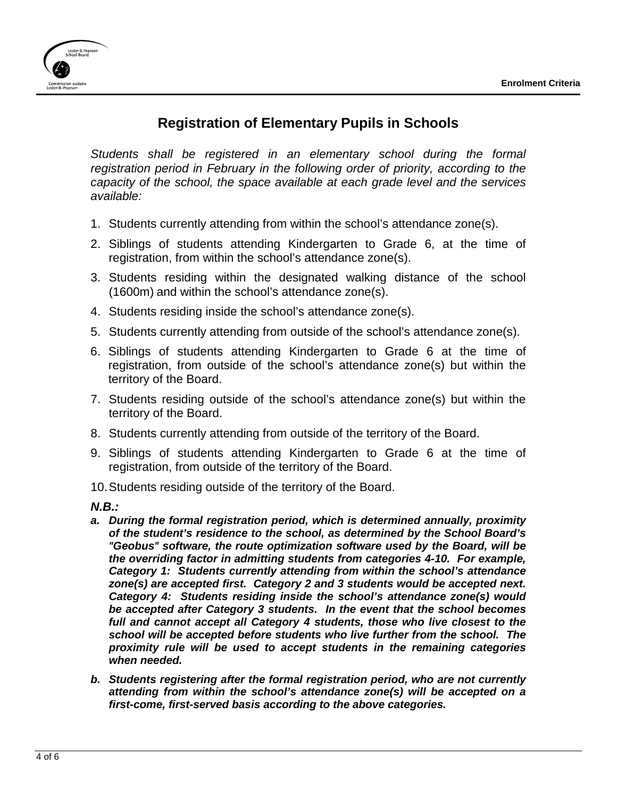

## **Registration of Elementary Pupils in Schools**

<span id="page-3-0"></span>*Students shall be registered in an elementary school during the formal registration period in February in the following order of priority, according to the capacity of the school, the space available at each grade level and the services available:*

- 1. Students currently attending from within the school's attendance zone(s).
- 2. Siblings of students attending Kindergarten to Grade 6, at the time of registration, from within the school's attendance zone(s).
- 3. Students residing within the designated walking distance of the school (1600m) and within the school's attendance zone(s).
- 4. Students residing inside the school's attendance zone(s).
- 5. Students currently attending from outside of the school's attendance zone(s).
- 6. Siblings of students attending Kindergarten to Grade 6 at the time of registration, from outside of the school's attendance zone(s) but within the territory of the Board.
- 7. Students residing outside of the school's attendance zone(s) but within the territory of the Board.
- 8. Students currently attending from outside of the territory of the Board.
- 9. Siblings of students attending Kindergarten to Grade 6 at the time of registration, from outside of the territory of the Board.
- 10.Students residing outside of the territory of the Board.

*N.B.:*

- *a. During the formal registration period, which is determined annually, proximity of the student's residence to the school, as determined by the School Board's "Geobus" software, the route optimization software used by the Board, will be the overriding factor in admitting students from categories 4-10. For example, Category 1: Students currently attending from within the school's attendance zone(s) are accepted first. Category 2 and 3 students would be accepted next. Category 4: Students residing inside the school's attendance zone(s) would be accepted after Category 3 students. In the event that the school becomes full and cannot accept all Category 4 students, those who live closest to the school will be accepted before students who live further from the school. The proximity rule will be used to accept students in the remaining categories when needed.*
- *b. Students registering after the formal registration period, who are not currently attending from within the school's attendance zone(s) will be accepted on a first-come, first-served basis according to the above categories.*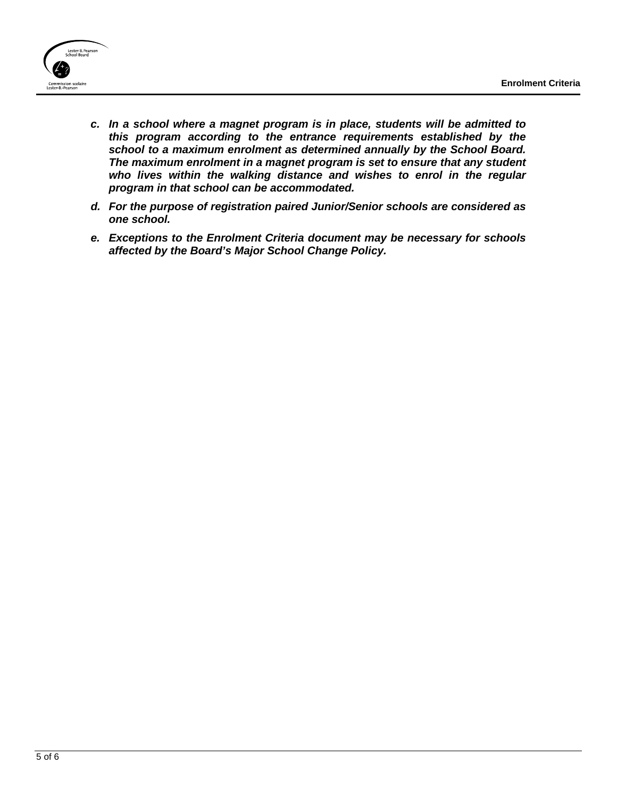

- *c. In a school where a magnet program is in place, students will be admitted to this program according to the entrance requirements established by the school to a maximum enrolment as determined annually by the School Board. The maximum enrolment in a magnet program is set to ensure that any student who lives within the walking distance and wishes to enrol in the regular program in that school can be accommodated.*
- *d. For the purpose of registration paired Junior/Senior schools are considered as one school.*
- *e. Exceptions to the Enrolment Criteria document may be necessary for schools affected by the Board's Major School Change Policy.*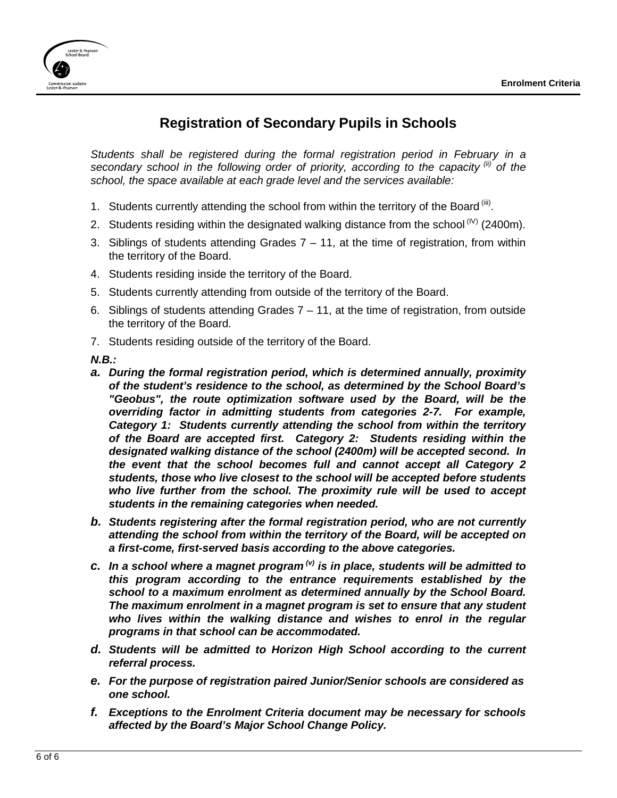

## **Registration of Secondary Pupils in Schools**

<span id="page-5-0"></span>*Students shall be registered during the formal registration period in February in a secondary school in the following order of priority, according to the capacity (ii) of the school, the space available at each grade level and the services available:*

- 1. Students currently attending the school from within the territory of the Board  $\binom{iii}{i}$ .
- 2. Students residing within the designated walking distance from the school  $^{(IV)}$  (2400m).
- 3. Siblings of students attending Grades  $7 11$ , at the time of registration, from within the territory of the Board.
- 4. Students residing inside the territory of the Board.
- 5. Students currently attending from outside of the territory of the Board.
- 6. Siblings of students attending Grades  $7 11$ , at the time of registration, from outside the territory of the Board.
- 7. Students residing outside of the territory of the Board.

*N.B.:*

- *a. During the formal registration period, which is determined annually, proximity of the student's residence to the school, as determined by the School Board's "Geobus", the route optimization software used by the Board, will be the overriding factor in admitting students from categories 2-7. For example, Category 1: Students currently attending the school from within the territory of the Board are accepted first. Category 2: Students residing within the designated walking distance of the school (2400m) will be accepted second. In the event that the school becomes full and cannot accept all Category 2 students, those who live closest to the school will be accepted before students who live further from the school. The proximity rule will be used to accept students in the remaining categories when needed.*
- *b. Students registering after the formal registration period, who are not currently attending the school from within the territory of the Board, will be accepted on a first-come, first-served basis according to the above categories.*
- *c. In a school where a magnet program (v) is in place, students will be admitted to this program according to the entrance requirements established by the school to a maximum enrolment as determined annually by the School Board. The maximum enrolment in a magnet program is set to ensure that any student who lives within the walking distance and wishes to enrol in the regular programs in that school can be accommodated.*
- *d. Students will be admitted to Horizon High School according to the current referral process.*
- *e. For the purpose of registration paired Junior/Senior schools are considered as one school.*
- *f. Exceptions to the Enrolment Criteria document may be necessary for schools affected by the Board's Major School Change Policy.*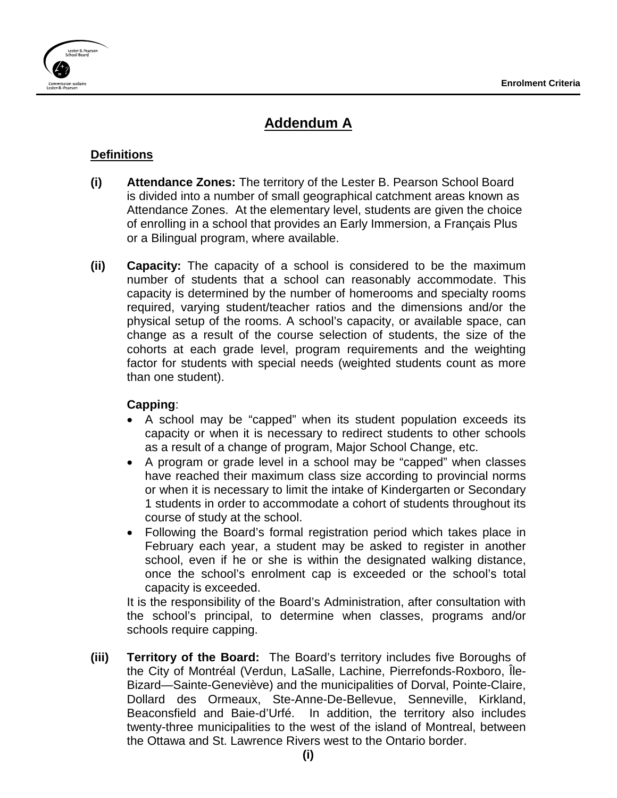

## **Addendum A**

#### <span id="page-6-0"></span>**Definitions**

- **(i) Attendance Zones:** The territory of the Lester B. Pearson School Board is divided into a number of small geographical catchment areas known as Attendance Zones. At the elementary level, students are given the choice of enrolling in a school that provides an Early Immersion, a Français Plus or a Bilingual program, where available.
- **(ii) Capacity:** The capacity of a school is considered to be the maximum number of students that a school can reasonably accommodate. This capacity is determined by the number of homerooms and specialty rooms required, varying student/teacher ratios and the dimensions and/or the physical setup of the rooms. A school's capacity, or available space, can change as a result of the course selection of students, the size of the cohorts at each grade level, program requirements and the weighting factor for students with special needs (weighted students count as more than one student).

#### **Capping**:

- A school may be "capped" when its student population exceeds its capacity or when it is necessary to redirect students to other schools as a result of a change of program, Major School Change, etc.
- A program or grade level in a school may be "capped" when classes have reached their maximum class size according to provincial norms or when it is necessary to limit the intake of Kindergarten or Secondary 1 students in order to accommodate a cohort of students throughout its course of study at the school.
- Following the Board's formal registration period which takes place in February each year, a student may be asked to register in another school, even if he or she is within the designated walking distance, once the school's enrolment cap is exceeded or the school's total capacity is exceeded.

It is the responsibility of the Board's Administration, after consultation with the school's principal, to determine when classes, programs and/or schools require capping.

**(iii) Territory of the Board:** The Board's territory includes five Boroughs of the City of Montréal (Verdun, LaSalle, Lachine, Pierrefonds-Roxboro, Île-Bizard—Sainte-Geneviève) and the municipalities of Dorval, Pointe-Claire, Dollard des Ormeaux, Ste-Anne-De-Bellevue, Senneville, Kirkland, Beaconsfield and Baie-d'Urfé. In addition, the territory also includes twenty-three municipalities to the west of the island of Montreal, between the Ottawa and St. Lawrence Rivers west to the Ontario border.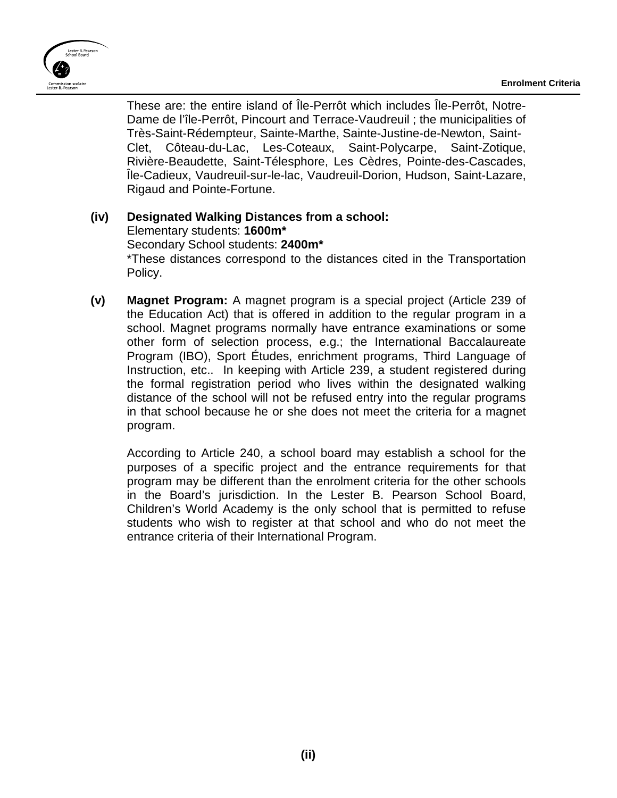

These are: the entire island of Île-Perrôt which includes Île-Perrôt, Notre-Dame de l'île-Perrôt, Pincourt and Terrace-Vaudreuil ; the municipalities of Très-Saint-Rédempteur, Sainte-Marthe, Sainte-Justine-de-Newton, Saint-Clet, Côteau-du-Lac, Les-Coteaux, Saint-Polycarpe, Saint-Zotique, Rivière-Beaudette, Saint-Télesphore, Les Cèdres, Pointe-des-Cascades, Île-Cadieux, Vaudreuil-sur-le-lac, Vaudreuil-Dorion, Hudson, Saint-Lazare, Rigaud and Pointe-Fortune.

#### **(iv) Designated Walking Distances from a school:**

Elementary students: **1600m\***

Secondary School students: **2400m\*** \*These distances correspond to the distances cited in the Transportation Policy.

**(v) Magnet Program:** A magnet program is a special project (Article 239 of the Education Act) that is offered in addition to the regular program in a school. Magnet programs normally have entrance examinations or some other form of selection process, e.g.; the International Baccalaureate Program (IBO), Sport Études, enrichment programs, Third Language of Instruction, etc.. In keeping with Article 239, a student registered during the formal registration period who lives within the designated walking distance of the school will not be refused entry into the regular programs in that school because he or she does not meet the criteria for a magnet program.

According to Article 240, a school board may establish a school for the purposes of a specific project and the entrance requirements for that program may be different than the enrolment criteria for the other schools in the Board's jurisdiction. In the Lester B. Pearson School Board, Children's World Academy is the only school that is permitted to refuse students who wish to register at that school and who do not meet the entrance criteria of their International Program.